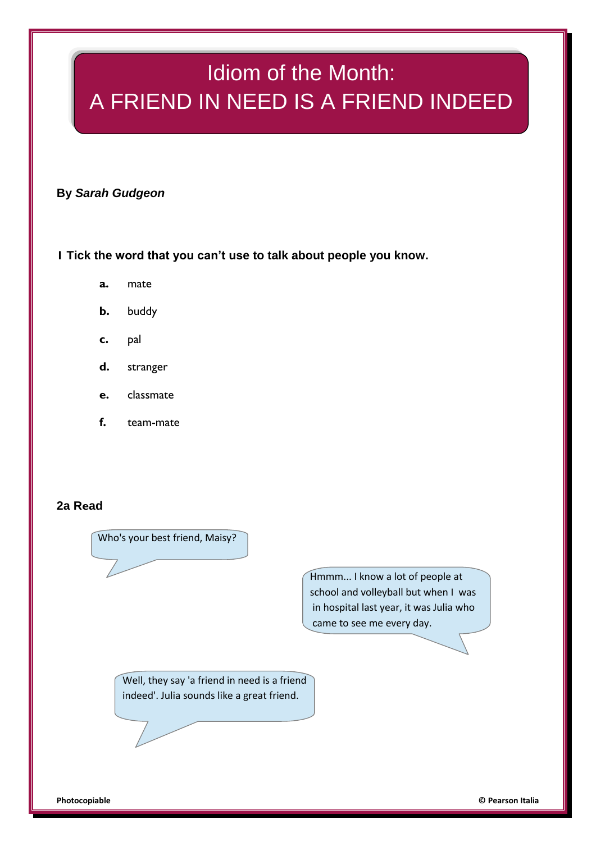# Idiom of the Month: A FRIEND IN NEED IS A FRIEND INDEED

**By** *Sarah Gudgeon*

**1 Tick the word that you can't use to talk about people you know.**

- **a.** mate
- **b.** buddy
- **c.** pal
- **d.** stranger
- **e.** classmate
- **f.** team-mate

### **2a Read**

Who's your best friend, Maisy?

Hmmm... I know a lot of people at school and volleyball but when I was in hospital last year, it was Julia who came to see me every day.

Well, they say 'a friend in need is a friend indeed'. Julia sounds like a great friend.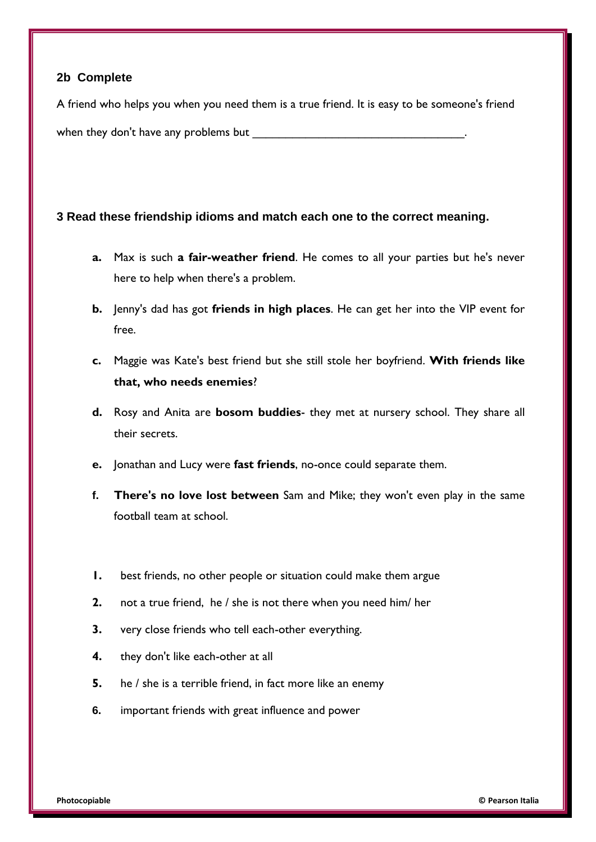### **2b Complete**

A friend who helps you when you need them is a true friend. It is easy to be someone's friend when they don't have any problems but

### **3 Read these friendship idioms and match each one to the correct meaning.**

- **a.** Max is such **a fair-weather friend**. He comes to all your parties but he's never here to help when there's a problem.
- **b.** Jenny's dad has got **friends in high places**. He can get her into the VIP event for free.
- **c.** Maggie was Kate's best friend but she still stole her boyfriend. **With friends like that, who needs enemies**?
- **d.** Rosy and Anita are **bosom buddies** they met at nursery school. They share all their secrets.
- **e.** Jonathan and Lucy were **fast friends**, no-once could separate them.
- **f. There's no love lost between** Sam and Mike; they won't even play in the same football team at school.
- **1.** best friends, no other people or situation could make them argue
- **2.** not a true friend, he / she is not there when you need him/ her
- **3.** very close friends who tell each-other everything.
- **4.** they don't like each-other at all
- **5.** he / she is a terrible friend, in fact more like an enemy
- **6.** important friends with great influence and power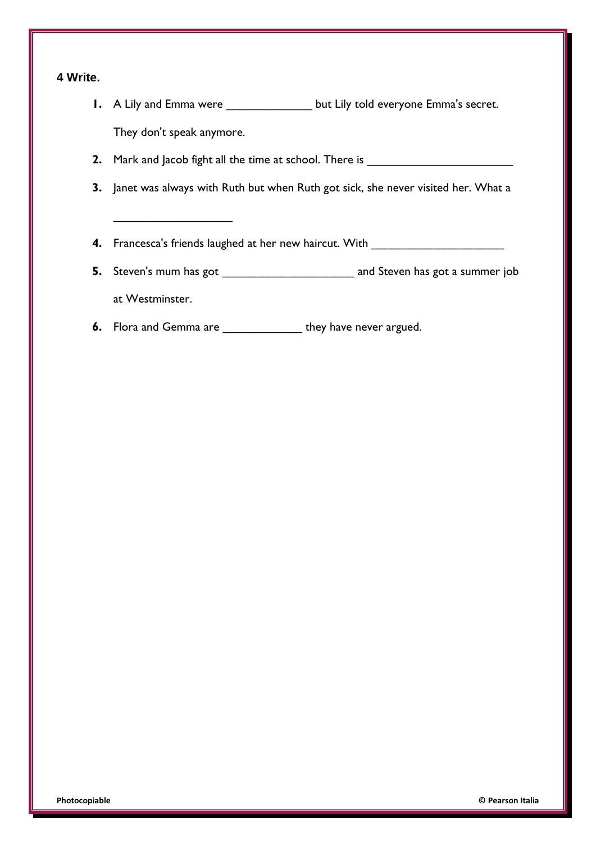### **4 Write.**

- **1.** A Lily and Emma were \_\_\_\_\_\_\_\_\_\_\_\_\_ but Lily told everyone Emma's secret. They don't speak anymore.
- **2.** Mark and Jacob fight all the time at school. There is \_\_\_\_\_\_\_\_\_\_\_\_\_\_\_\_\_\_\_\_\_\_
- **3.** Janet was always with Ruth but when Ruth got sick, she never visited her. What a
- **4.** Francesca's friends laughed at her new haircut. With \_\_\_\_\_\_\_\_\_\_\_\_\_\_\_\_\_\_\_\_\_\_\_
- **5.** Steven's mum has got \_\_\_\_\_\_\_\_\_\_\_\_\_\_\_\_\_\_\_\_ and Steven has got a summer job at Westminster.
- **6.** Flora and Gemma are \_\_\_\_\_\_\_\_\_\_\_\_\_\_\_ they have never argued.

\_\_\_\_\_\_\_\_\_\_\_\_\_\_\_\_\_\_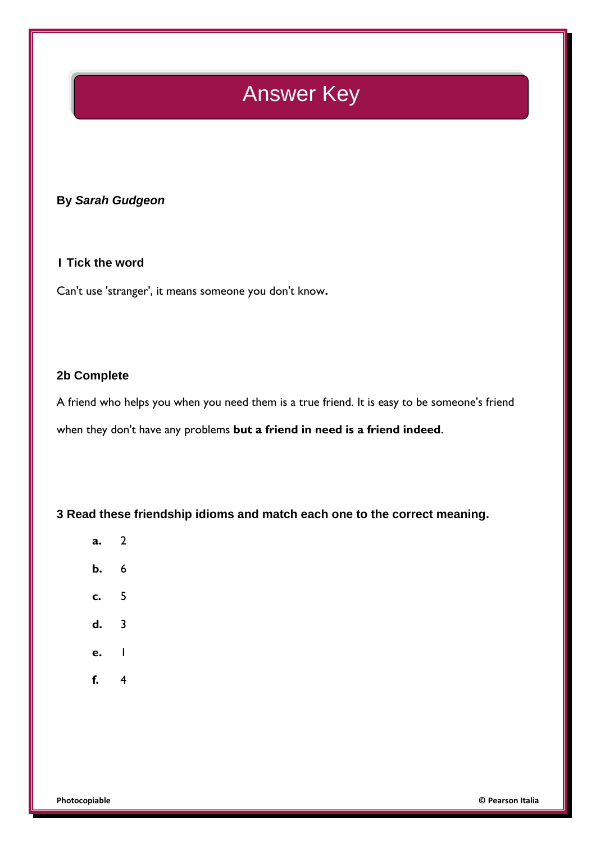## Answer Key

### **By** *Sarah Gudgeon*

### **1 Tick the word**

Can't use 'stranger', it means someone you don't know**.**

#### **2b Complete**

A friend who helps you when you need them is a true friend. It is easy to be someone's friend when they don't have any problems **but a friend in need is a friend indeed**.

**3 Read these friendship idioms and match each one to the correct meaning.**

- **a.** 2
- **b.** 6
- **c.** 5
- **d.** 3
- **e.** 1
- **f.** 4

**Photocopiable © Pearson Italia**